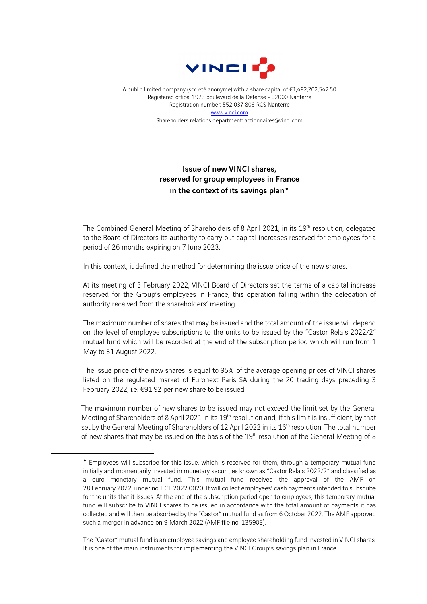

A public limited company (société anonyme) with a share capital of €1,482,202,542.50 Registered office: 1973 boulevard de la Défense - 92000 Nanterre Registration number: 552 037 806 RCS Nanterre [www.vinci.com](http://www.vinci.com/) Shareholders relations department: actionnaires@vinci.com

 $\overline{\mathcal{L}}$  , and the set of the set of the set of the set of the set of the set of the set of the set of the set of the set of the set of the set of the set of the set of the set of the set of the set of the set of the s

## Issue of new VINCI shares, reserved for group employees in France in the context of its savings plan<sup>+</sup>

The Combined General Meeting of Shareholders of 8 April 2021, in its 19<sup>th</sup> resolution, delegated to the Board of Directors its authority to carry out capital increases reserved for employees for a period of 26 months expiring on 7 June 2023.

In this context, it defined the method for determining the issue price of the new shares.

At its meeting of 3 February 2022, VINCI Board of Directors set the terms of a capital increase reserved for the Group's employees in France, this operation falling within the delegation of authority received from the shareholders' meeting.

The maximum number of shares that may be issued and the total amount of the issue will depend on the level of employee subscriptions to the units to be issued by the "Castor Relais 2022/2" mutual fund which will be recorded at the end of the subscription period which will run from 1 May to 31 August 2022.

The issue price of the new shares is equal to 95% of the average opening prices of VINCI shares listed on the regulated market of Euronext Paris SA during the 20 trading days preceding 3 February 2022, i.e. €91.92 per new share to be issued.

The maximum number of new shares to be issued may not exceed the limit set by the General Meeting of Shareholders of 8 April 2021 in its 19<sup>th</sup> resolution and, if this limit is insufficient, by that set by the General Meeting of Shareholders of 12 April 2022 in its 16<sup>th</sup> resolution. The total number of new shares that may be issued on the basis of the 19<sup>th</sup> resolution of the General Meeting of 8

The "Castor" mutual fund is an employee savings and employee shareholding fund invested in VINCI shares. It is one of the main instruments for implementing the VINCI Group's savings plan in France.

<span id="page-0-0"></span><sup>♦</sup> Employees will subscribe for this issue, which is reserved for them, through a temporary mutual fund initially and momentarily invested in monetary securities known as "Castor Relais 2022/2" and classified as a euro monetary mutual fund. This mutual fund received the approval of the AMF on 28 February 2022, under no. FCE 2022 0020. It will collect employees' cash payments intended to subscribe for the units that it issues. At the end of the subscription period open to employees, this temporary mutual fund will subscribe to VINCI shares to be issued in accordance with the total amount of payments it has collected and will then be absorbed by the "Castor" mutual fund as from 6 October 2022. The AMF approved such a merger in advance on 9 March 2022 (AMF file no. 135903).